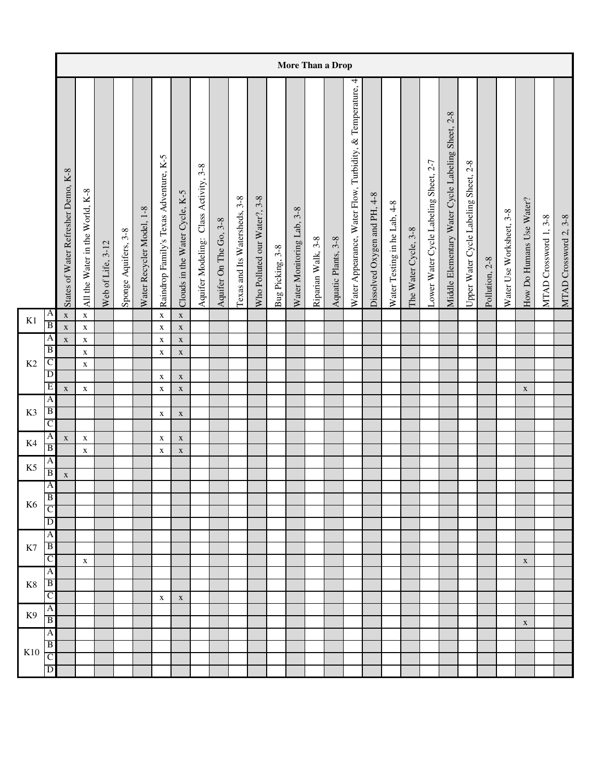|                |                                  |                                     |                                 |                   |                      |                           |                                        |                                |                                       |                        |                               |                              |                  | More Than a Drop          |                    |                     |                                                              |                              |                              |                      |                                       |                                                          |                                       |                |                          |                          |                       |                       |
|----------------|----------------------------------|-------------------------------------|---------------------------------|-------------------|----------------------|---------------------------|----------------------------------------|--------------------------------|---------------------------------------|------------------------|-------------------------------|------------------------------|------------------|---------------------------|--------------------|---------------------|--------------------------------------------------------------|------------------------------|------------------------------|----------------------|---------------------------------------|----------------------------------------------------------|---------------------------------------|----------------|--------------------------|--------------------------|-----------------------|-----------------------|
|                |                                  | States of Water Refresher Demo, K-8 | All the Water in the World, K-8 | Web of Life, 3-12 | Sponge Aquifers, 3-8 | Water Recycler Model, 1-8 | Raindrop Family's Texas Adventure, K-5 | Clouds in the Water Cycle, K-5 | Aquifer Modeling: Class Activity, 3-8 | Aquifer On The Go, 3-8 | Texas and Its Watersheds, 3-8 | Who Polluted our Water?, 3-8 | Bug Picking, 3-8 | Water Monitoring Lab, 3-8 | Riparian Walk, 3-8 | Aquatic Plants, 3-8 | 4<br>Water Appearance, Water Flow, Turbidity, & Temperature, | Dissolved Oxygen and PH, 4-8 | Water Testing in he Lab, 4-8 | The Water Cycle, 3-8 | Lower Water Cycle Labeling Sheet, 2-7 | $2 - 8$<br>Middle Elementary Water Cycle Labeling Sheet, | Upper Water Cycle Labeling Sheet, 2-8 | Pollution, 2-8 | Water Use Worksheet, 3-8 | How Do Humans Use Water? | MTAD Crossword 1, 3-8 | MTAD Crossword 2, 3-8 |
| K1             | A                                | $\mathbf X$                         | $\mathbf X$                     |                   |                      |                           | $\mathbf X$                            | $\mathbf X$                    |                                       |                        |                               |                              |                  |                           |                    |                     |                                                              |                              |                              |                      |                                       |                                                          |                                       |                |                          |                          |                       |                       |
|                | $\overline{B}$                   | $\mathbf X$                         | $\mathbf X$                     |                   |                      |                           | $\mathbf X$                            | $\mathbf X$                    |                                       |                        |                               |                              |                  |                           |                    |                     |                                                              |                              |                              |                      |                                       |                                                          |                                       |                |                          |                          |                       |                       |
|                | $\overline{A}$<br>$\overline{B}$ | $\mathbf X$                         | $\mathbf X$                     |                   |                      |                           | $\mathbf X$                            | $\mathbf X$                    |                                       |                        |                               |                              |                  |                           |                    |                     |                                                              |                              |                              |                      |                                       |                                                          |                                       |                |                          |                          |                       |                       |
| K2             | C                                |                                     | $\mathbf X$<br>$\mathbf X$      |                   |                      |                           | $\mathbf X$                            | $\mathbf X$                    |                                       |                        |                               |                              |                  |                           |                    |                     |                                                              |                              |                              |                      |                                       |                                                          |                                       |                |                          |                          |                       |                       |
|                | $\overline{D}$                   |                                     |                                 |                   |                      |                           | $\mathbf X$                            | $\mathbf X$                    |                                       |                        |                               |                              |                  |                           |                    |                     |                                                              |                              |                              |                      |                                       |                                                          |                                       |                |                          |                          |                       |                       |
|                | E                                | $\mathbf X$                         | $\mathbf X$                     |                   |                      |                           | $\mathbf X$                            | $\mathbf X$                    |                                       |                        |                               |                              |                  |                           |                    |                     |                                                              |                              |                              |                      |                                       |                                                          |                                       |                |                          | $\mathbf X$              |                       |                       |
|                | $\overline{A}$                   |                                     |                                 |                   |                      |                           |                                        |                                |                                       |                        |                               |                              |                  |                           |                    |                     |                                                              |                              |                              |                      |                                       |                                                          |                                       |                |                          |                          |                       |                       |
| K3             | $\overline{B}$                   |                                     |                                 |                   |                      |                           | $\mathbf X$                            | $\mathbf X$                    |                                       |                        |                               |                              |                  |                           |                    |                     |                                                              |                              |                              |                      |                                       |                                                          |                                       |                |                          |                          |                       |                       |
|                | $\overline{C}$                   |                                     |                                 |                   |                      |                           |                                        |                                |                                       |                        |                               |                              |                  |                           |                    |                     |                                                              |                              |                              |                      |                                       |                                                          |                                       |                |                          |                          |                       |                       |
| K4             | A                                | $\mathbf X$                         | $\mathbf X$                     |                   |                      |                           | $\mathbf X$                            | $\mathbf X$                    |                                       |                        |                               |                              |                  |                           |                    |                     |                                                              |                              |                              |                      |                                       |                                                          |                                       |                |                          |                          |                       |                       |
|                | $\overline{B}$                   |                                     | $\mathbf X$                     |                   |                      |                           | $\mathbf X$                            | $\mathbf X$                    |                                       |                        |                               |                              |                  |                           |                    |                     |                                                              |                              |                              |                      |                                       |                                                          |                                       |                |                          |                          |                       |                       |
| K <sub>5</sub> | A                                |                                     |                                 |                   |                      |                           |                                        |                                |                                       |                        |                               |                              |                  |                           |                    |                     |                                                              |                              |                              |                      |                                       |                                                          |                                       |                |                          |                          |                       |                       |
|                | B                                | $\mathbf X$                         |                                 |                   |                      |                           |                                        |                                |                                       |                        |                               |                              |                  |                           |                    |                     |                                                              |                              |                              |                      |                                       |                                                          |                                       |                |                          |                          |                       |                       |
|                | $\overline{A}$<br>B              |                                     |                                 |                   |                      |                           |                                        |                                |                                       |                        |                               |                              |                  |                           |                    |                     |                                                              |                              |                              |                      |                                       |                                                          |                                       |                |                          |                          |                       |                       |
| K <sub>6</sub> | C                                |                                     |                                 |                   |                      |                           |                                        |                                |                                       |                        |                               |                              |                  |                           |                    |                     |                                                              |                              |                              |                      |                                       |                                                          |                                       |                |                          |                          |                       |                       |
|                | $\mathbf{D}$                     |                                     |                                 |                   |                      |                           |                                        |                                |                                       |                        |                               |                              |                  |                           |                    |                     |                                                              |                              |                              |                      |                                       |                                                          |                                       |                |                          |                          |                       |                       |
|                | A                                |                                     |                                 |                   |                      |                           |                                        |                                |                                       |                        |                               |                              |                  |                           |                    |                     |                                                              |                              |                              |                      |                                       |                                                          |                                       |                |                          |                          |                       |                       |
| K7             | $\overline{B}$                   |                                     |                                 |                   |                      |                           |                                        |                                |                                       |                        |                               |                              |                  |                           |                    |                     |                                                              |                              |                              |                      |                                       |                                                          |                                       |                |                          |                          |                       |                       |
|                | $\overline{C}$                   |                                     | $\mathbf X$                     |                   |                      |                           |                                        |                                |                                       |                        |                               |                              |                  |                           |                    |                     |                                                              |                              |                              |                      |                                       |                                                          |                                       |                |                          | $\mathbf X$              |                       |                       |
|                | $\overline{A}$                   |                                     |                                 |                   |                      |                           |                                        |                                |                                       |                        |                               |                              |                  |                           |                    |                     |                                                              |                              |                              |                      |                                       |                                                          |                                       |                |                          |                          |                       |                       |
| $\rm K8$       | $\overline{B}$                   |                                     |                                 |                   |                      |                           |                                        |                                |                                       |                        |                               |                              |                  |                           |                    |                     |                                                              |                              |                              |                      |                                       |                                                          |                                       |                |                          |                          |                       |                       |
|                | $\overline{C}$                   |                                     |                                 |                   |                      |                           | $\mathbf X$                            | $\mathbf X$                    |                                       |                        |                               |                              |                  |                           |                    |                     |                                                              |                              |                              |                      |                                       |                                                          |                                       |                |                          |                          |                       |                       |
| K <sub>9</sub> | Α                                |                                     |                                 |                   |                      |                           |                                        |                                |                                       |                        |                               |                              |                  |                           |                    |                     |                                                              |                              |                              |                      |                                       |                                                          |                                       |                |                          |                          |                       |                       |
|                | $\overline{B}$                   |                                     |                                 |                   |                      |                           |                                        |                                |                                       |                        |                               |                              |                  |                           |                    |                     |                                                              |                              |                              |                      |                                       |                                                          |                                       |                |                          | $\mathbf X$              |                       |                       |
|                | $\overline{A}$<br>$\overline{B}$ |                                     |                                 |                   |                      |                           |                                        |                                |                                       |                        |                               |                              |                  |                           |                    |                     |                                                              |                              |                              |                      |                                       |                                                          |                                       |                |                          |                          |                       |                       |
| K10            | $\overline{C}$                   |                                     |                                 |                   |                      |                           |                                        |                                |                                       |                        |                               |                              |                  |                           |                    |                     |                                                              |                              |                              |                      |                                       |                                                          |                                       |                |                          |                          |                       |                       |
|                | D                                |                                     |                                 |                   |                      |                           |                                        |                                |                                       |                        |                               |                              |                  |                           |                    |                     |                                                              |                              |                              |                      |                                       |                                                          |                                       |                |                          |                          |                       |                       |
|                |                                  |                                     |                                 |                   |                      |                           |                                        |                                |                                       |                        |                               |                              |                  |                           |                    |                     |                                                              |                              |                              |                      |                                       |                                                          |                                       |                |                          |                          |                       |                       |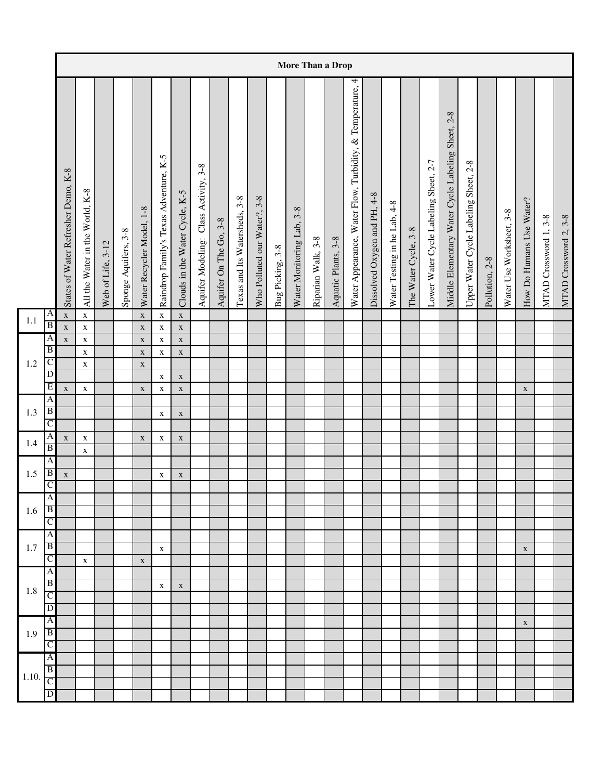|         |                                         |                                     |                                 |                   |                      |                            |                                        |                                |                                       |                        |                               |                              |                  |                                  |                    | More Than a Drop    |                                                           |                              |                              |                      |                                       |                                                          |                                       |                |                          |                          |                       |                       |
|---------|-----------------------------------------|-------------------------------------|---------------------------------|-------------------|----------------------|----------------------------|----------------------------------------|--------------------------------|---------------------------------------|------------------------|-------------------------------|------------------------------|------------------|----------------------------------|--------------------|---------------------|-----------------------------------------------------------|------------------------------|------------------------------|----------------------|---------------------------------------|----------------------------------------------------------|---------------------------------------|----------------|--------------------------|--------------------------|-----------------------|-----------------------|
|         |                                         | States of Water Refresher Demo, K-8 | All the Water in the World, K-8 | Web of Life, 3-12 | Sponge Aquifers, 3-8 | Water Recycler Model, 1-8  | Raindrop Family's Texas Adventure, K-5 | Clouds in the Water Cycle, K-5 | Aquifer Modeling: Class Activity, 3-8 | Aquifer On The Go, 3-8 | Texas and Its Watersheds, 3-8 | Who Polluted our Water?, 3-8 | Bug Picking, 3-8 | $3 - 8$<br>Water Monitoring Lab, | Riparian Walk, 3-8 | Aquatic Plants, 3-8 | Water Appearance, Water Flow, Turbidity, & Temperature, 4 | Dissolved Oxygen and PH, 4-8 | Water Testing in he Lab, 4-8 | The Water Cycle, 3-8 | Lower Water Cycle Labeling Sheet, 2-7 | $2 - 8$<br>Middle Elementary Water Cycle Labeling Sheet, | Upper Water Cycle Labeling Sheet, 2-8 | Pollution, 2-8 | Water Use Worksheet, 3-8 | How Do Humans Use Water? | MTAD Crossword 1, 3-8 | MTAD Crossword 2, 3-8 |
| 1.1     | A                                       | $\mathbf X$                         | $\mathbf X$                     |                   |                      | $\mathbf X$                | $\mathbf X$                            | $\mathbf X$                    |                                       |                        |                               |                              |                  |                                  |                    |                     |                                                           |                              |                              |                      |                                       |                                                          |                                       |                |                          |                          |                       |                       |
|         | $\overline{B}$<br>$\overline{A}$        | $\mathbf X$                         | $\mathbf X$                     |                   |                      | $\mathbf X$                | $\mathbf X$                            | $\mathbf X$                    |                                       |                        |                               |                              |                  |                                  |                    |                     |                                                           |                              |                              |                      |                                       |                                                          |                                       |                |                          |                          |                       |                       |
|         | $\overline{B}$                          | $\mathbf X$                         | $\mathbf X$<br>$\mathbf X$      |                   |                      | $\mathbf X$<br>$\mathbf X$ | $\mathbf X$<br>$\mathbf X$             | $\mathbf X$<br>$\mathbf X$     |                                       |                        |                               |                              |                  |                                  |                    |                     |                                                           |                              |                              |                      |                                       |                                                          |                                       |                |                          |                          |                       |                       |
| $1.2\,$ | $\mathsf{C}$                            |                                     | $\mathbf X$                     |                   |                      | $\mathbf X$                |                                        |                                |                                       |                        |                               |                              |                  |                                  |                    |                     |                                                           |                              |                              |                      |                                       |                                                          |                                       |                |                          |                          |                       |                       |
|         | $\overline{D}$                          |                                     |                                 |                   |                      |                            | $\mathbf X$                            | $\mathbf X$                    |                                       |                        |                               |                              |                  |                                  |                    |                     |                                                           |                              |                              |                      |                                       |                                                          |                                       |                |                          |                          |                       |                       |
|         | E                                       | $\mathbf X$                         | $\mathbf X$                     |                   |                      | $\mathbf X$                | $\mathbf X$                            | $\mathbf X$                    |                                       |                        |                               |                              |                  |                                  |                    |                     |                                                           |                              |                              |                      |                                       |                                                          |                                       |                |                          | $\mathbf X$              |                       |                       |
| 1.3     | $\overline{A}$<br>$\overline{B}$        |                                     |                                 |                   |                      |                            |                                        |                                |                                       |                        |                               |                              |                  |                                  |                    |                     |                                                           |                              |                              |                      |                                       |                                                          |                                       |                |                          |                          |                       |                       |
|         | $\mathsf{C}$                            |                                     |                                 |                   |                      |                            | $\mathbf X$                            | $\mathbf X$                    |                                       |                        |                               |                              |                  |                                  |                    |                     |                                                           |                              |                              |                      |                                       |                                                          |                                       |                |                          |                          |                       |                       |
|         | $\overline{A}$                          | $\mathbf X$                         | $\mathbf X$                     |                   |                      | $\mathbf X$                | $\mathbf X$                            | $\mathbf X$                    |                                       |                        |                               |                              |                  |                                  |                    |                     |                                                           |                              |                              |                      |                                       |                                                          |                                       |                |                          |                          |                       |                       |
| 1.4     | $\, {\bf B}$                            |                                     | $\mathbf X$                     |                   |                      |                            |                                        |                                |                                       |                        |                               |                              |                  |                                  |                    |                     |                                                           |                              |                              |                      |                                       |                                                          |                                       |                |                          |                          |                       |                       |
|         | $\overline{A}$                          |                                     |                                 |                   |                      |                            |                                        |                                |                                       |                        |                               |                              |                  |                                  |                    |                     |                                                           |                              |                              |                      |                                       |                                                          |                                       |                |                          |                          |                       |                       |
| 1.5     | $\overline{B}$<br>$\overline{C}$        | $\mathbf X$                         |                                 |                   |                      |                            | $\mathbf X$                            | $\mathbf X$                    |                                       |                        |                               |                              |                  |                                  |                    |                     |                                                           |                              |                              |                      |                                       |                                                          |                                       |                |                          |                          |                       |                       |
|         | $\overline{A}$                          |                                     |                                 |                   |                      |                            |                                        |                                |                                       |                        |                               |                              |                  |                                  |                    |                     |                                                           |                              |                              |                      |                                       |                                                          |                                       |                |                          |                          |                       |                       |
| 1.6     | $\overline{B}$                          |                                     |                                 |                   |                      |                            |                                        |                                |                                       |                        |                               |                              |                  |                                  |                    |                     |                                                           |                              |                              |                      |                                       |                                                          |                                       |                |                          |                          |                       |                       |
|         | $\mathsf{C}$                            |                                     |                                 |                   |                      |                            |                                        |                                |                                       |                        |                               |                              |                  |                                  |                    |                     |                                                           |                              |                              |                      |                                       |                                                          |                                       |                |                          |                          |                       |                       |
| 1.7     | $\overline{A}$<br>$\overline{B}$        |                                     |                                 |                   |                      |                            |                                        |                                |                                       |                        |                               |                              |                  |                                  |                    |                     |                                                           |                              |                              |                      |                                       |                                                          |                                       |                |                          |                          |                       |                       |
|         | $\overline{C}$                          |                                     | $\mathbf X$                     |                   |                      | $\mathbf X$                | $\mathbf X$                            |                                |                                       |                        |                               |                              |                  |                                  |                    |                     |                                                           |                              |                              |                      |                                       |                                                          |                                       |                |                          | $\mathbf X$              |                       |                       |
|         | $\mathbf{A}$                            |                                     |                                 |                   |                      |                            |                                        |                                |                                       |                        |                               |                              |                  |                                  |                    |                     |                                                           |                              |                              |                      |                                       |                                                          |                                       |                |                          |                          |                       |                       |
| $1.8\,$ | $\overline{B}$                          |                                     |                                 |                   |                      |                            | X                                      | $\mathbf X$                    |                                       |                        |                               |                              |                  |                                  |                    |                     |                                                           |                              |                              |                      |                                       |                                                          |                                       |                |                          |                          |                       |                       |
|         | $\overline{C}$                          |                                     |                                 |                   |                      |                            |                                        |                                |                                       |                        |                               |                              |                  |                                  |                    |                     |                                                           |                              |                              |                      |                                       |                                                          |                                       |                |                          |                          |                       |                       |
|         | $\overline{D}$<br>$\overline{A}$        |                                     |                                 |                   |                      |                            |                                        |                                |                                       |                        |                               |                              |                  |                                  |                    |                     |                                                           |                              |                              |                      |                                       |                                                          |                                       |                |                          |                          |                       |                       |
| 1.9     | $\overline{B}$                          |                                     |                                 |                   |                      |                            |                                        |                                |                                       |                        |                               |                              |                  |                                  |                    |                     |                                                           |                              |                              |                      |                                       |                                                          |                                       |                |                          | $\mathbf X$              |                       |                       |
|         | $\overline{C}$                          |                                     |                                 |                   |                      |                            |                                        |                                |                                       |                        |                               |                              |                  |                                  |                    |                     |                                                           |                              |                              |                      |                                       |                                                          |                                       |                |                          |                          |                       |                       |
|         | $\overline{A}$                          |                                     |                                 |                   |                      |                            |                                        |                                |                                       |                        |                               |                              |                  |                                  |                    |                     |                                                           |                              |                              |                      |                                       |                                                          |                                       |                |                          |                          |                       |                       |
| 1.10.   | $\overline{B}$                          |                                     |                                 |                   |                      |                            |                                        |                                |                                       |                        |                               |                              |                  |                                  |                    |                     |                                                           |                              |                              |                      |                                       |                                                          |                                       |                |                          |                          |                       |                       |
|         | $\overline{C}$<br>$\overline{\text{D}}$ |                                     |                                 |                   |                      |                            |                                        |                                |                                       |                        |                               |                              |                  |                                  |                    |                     |                                                           |                              |                              |                      |                                       |                                                          |                                       |                |                          |                          |                       |                       |
|         |                                         |                                     |                                 |                   |                      |                            |                                        |                                |                                       |                        |                               |                              |                  |                                  |                    |                     |                                                           |                              |                              |                      |                                       |                                                          |                                       |                |                          |                          |                       |                       |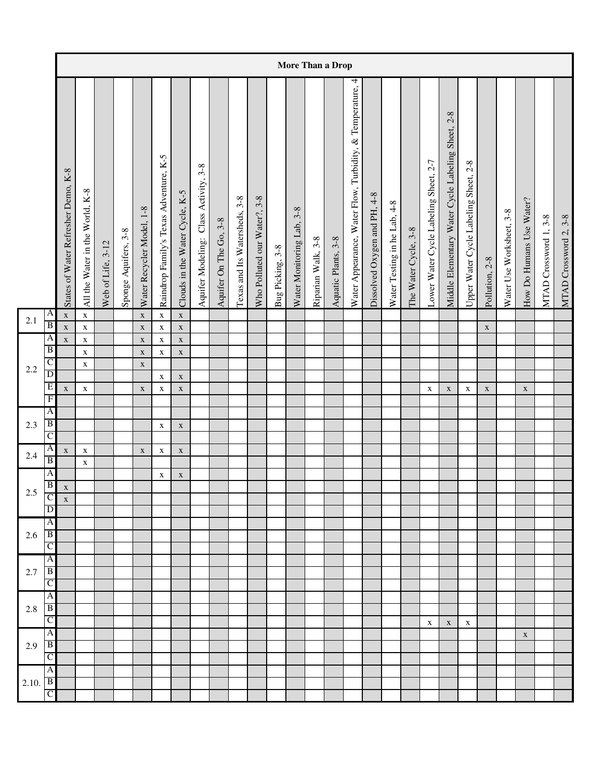|         |                                      |                                     |                                 |                   |                      |                            |                                        |                                |                                       |                        |                               |                              |                  |                                  |                    | More Than a Drop    |                                                           |                              |                              |                      |                                       |                                                          |                                       |                |                          |                          |                       |                       |
|---------|--------------------------------------|-------------------------------------|---------------------------------|-------------------|----------------------|----------------------------|----------------------------------------|--------------------------------|---------------------------------------|------------------------|-------------------------------|------------------------------|------------------|----------------------------------|--------------------|---------------------|-----------------------------------------------------------|------------------------------|------------------------------|----------------------|---------------------------------------|----------------------------------------------------------|---------------------------------------|----------------|--------------------------|--------------------------|-----------------------|-----------------------|
|         |                                      | States of Water Refresher Demo, K-8 | All the Water in the World, K-8 | Web of Life, 3-12 | Sponge Aquifers, 3-8 | Water Recycler Model, 1-8  | Raindrop Family's Texas Adventure, K-5 | Clouds in the Water Cycle, K-5 | Aquifer Modeling: Class Activity, 3-8 | Aquifer On The Go, 3-8 | Texas and Its Watersheds, 3-8 | Who Polluted our Water?, 3-8 | Bug Picking, 3-8 | $3 - 8$<br>Water Monitoring Lab, | Riparian Walk, 3-8 | Aquatic Plants, 3-8 | Water Appearance, Water Flow, Turbidity, & Temperature, 4 | Dissolved Oxygen and PH, 4-8 | Water Testing in he Lab, 4-8 | The Water Cycle, 3-8 | Lower Water Cycle Labeling Sheet, 2-7 | $2 - 8$<br>Middle Elementary Water Cycle Labeling Sheet, | Upper Water Cycle Labeling Sheet, 2-8 | Pollution, 2-8 | Water Use Worksheet, 3-8 | How Do Humans Use Water? | MTAD Crossword 1, 3-8 | MTAD Crossword 2, 3-8 |
| 2.1     | A                                    | $\mathbf X$                         | $\mathbf X$                     |                   |                      | $\mathbf X$                | $\mathbf X$                            | $\mathbf X$                    |                                       |                        |                               |                              |                  |                                  |                    |                     |                                                           |                              |                              |                      |                                       |                                                          |                                       |                |                          |                          |                       |                       |
|         | $\overline{B}$                       | $\mathbf X$                         | $\mathbf X$                     |                   |                      | $\mathbf X$                | $\mathbf X$                            | $\mathbf X$                    |                                       |                        |                               |                              |                  |                                  |                    |                     |                                                           |                              |                              |                      |                                       |                                                          |                                       | $\mathbf X$    |                          |                          |                       |                       |
|         | $\mathsf{A}$<br>$\overline{B}$       | $\mathbf X$                         | $\mathbf X$<br>$\mathbf X$      |                   |                      | $\mathbf X$<br>$\mathbf X$ | $\mathbf X$<br>$\mathbf X$             | $\mathbf X$<br>$\mathbf X$     |                                       |                        |                               |                              |                  |                                  |                    |                     |                                                           |                              |                              |                      |                                       |                                                          |                                       |                |                          |                          |                       |                       |
|         | C                                    |                                     | $\mathbf X$                     |                   |                      | $\mathbf X$                |                                        |                                |                                       |                        |                               |                              |                  |                                  |                    |                     |                                                           |                              |                              |                      |                                       |                                                          |                                       |                |                          |                          |                       |                       |
| 2.2     | $\overline{D}$                       |                                     |                                 |                   |                      |                            | $\mathbf X$                            | $\mathbf X$                    |                                       |                        |                               |                              |                  |                                  |                    |                     |                                                           |                              |                              |                      |                                       |                                                          |                                       |                |                          |                          |                       |                       |
|         | E                                    | $\mathbf X$                         | $\mathbf X$                     |                   |                      | $\mathbf X$                | $\mathbf X$                            | $\mathbf X$                    |                                       |                        |                               |                              |                  |                                  |                    |                     |                                                           |                              |                              |                      | $\mathbf X$                           | $\mathbf X$                                              | X                                     | $\mathbf X$    |                          | $\mathbf X$              |                       |                       |
|         | $\overline{F}$<br>$\overline{A}$     |                                     |                                 |                   |                      |                            |                                        |                                |                                       |                        |                               |                              |                  |                                  |                    |                     |                                                           |                              |                              |                      |                                       |                                                          |                                       |                |                          |                          |                       |                       |
| 2.3     | $\overline{B}$                       |                                     |                                 |                   |                      |                            | $\mathbf X$                            | $\mathbf X$                    |                                       |                        |                               |                              |                  |                                  |                    |                     |                                                           |                              |                              |                      |                                       |                                                          |                                       |                |                          |                          |                       |                       |
|         | $\mathsf{C}$                         |                                     |                                 |                   |                      |                            |                                        |                                |                                       |                        |                               |                              |                  |                                  |                    |                     |                                                           |                              |                              |                      |                                       |                                                          |                                       |                |                          |                          |                       |                       |
| 2.4     | A                                    | $\mathbf X$                         | $\mathbf X$                     |                   |                      | $\mathbf X$                | $\mathbf X$                            | $\mathbf X$                    |                                       |                        |                               |                              |                  |                                  |                    |                     |                                                           |                              |                              |                      |                                       |                                                          |                                       |                |                          |                          |                       |                       |
|         | B                                    |                                     | $\mathbf X$                     |                   |                      |                            |                                        |                                |                                       |                        |                               |                              |                  |                                  |                    |                     |                                                           |                              |                              |                      |                                       |                                                          |                                       |                |                          |                          |                       |                       |
|         | $\overline{A}$                       |                                     |                                 |                   |                      |                            | $\mathbf X$                            | $\mathbf X$                    |                                       |                        |                               |                              |                  |                                  |                    |                     |                                                           |                              |                              |                      |                                       |                                                          |                                       |                |                          |                          |                       |                       |
| $2.5\,$ | $\overline{B}$                       | $\mathbf X$                         |                                 |                   |                      |                            |                                        |                                |                                       |                        |                               |                              |                  |                                  |                    |                     |                                                           |                              |                              |                      |                                       |                                                          |                                       |                |                          |                          |                       |                       |
|         | $\overline{D}$                       | X                                   |                                 |                   |                      |                            |                                        |                                |                                       |                        |                               |                              |                  |                                  |                    |                     |                                                           |                              |                              |                      |                                       |                                                          |                                       |                |                          |                          |                       |                       |
|         | A                                    |                                     |                                 |                   |                      |                            |                                        |                                |                                       |                        |                               |                              |                  |                                  |                    |                     |                                                           |                              |                              |                      |                                       |                                                          |                                       |                |                          |                          |                       |                       |
| 2.6     | $\vert$ B                            |                                     |                                 |                   |                      |                            |                                        |                                |                                       |                        |                               |                              |                  |                                  |                    |                     |                                                           |                              |                              |                      |                                       |                                                          |                                       |                |                          |                          |                       |                       |
|         | $\overline{C}$                       |                                     |                                 |                   |                      |                            |                                        |                                |                                       |                        |                               |                              |                  |                                  |                    |                     |                                                           |                              |                              |                      |                                       |                                                          |                                       |                |                          |                          |                       |                       |
|         | $\overline{A}$                       |                                     |                                 |                   |                      |                            |                                        |                                |                                       |                        |                               |                              |                  |                                  |                    |                     |                                                           |                              |                              |                      |                                       |                                                          |                                       |                |                          |                          |                       |                       |
| 2.7     | $\overline{B}$<br>$\overline{C}$     |                                     |                                 |                   |                      |                            |                                        |                                |                                       |                        |                               |                              |                  |                                  |                    |                     |                                                           |                              |                              |                      |                                       |                                                          |                                       |                |                          |                          |                       |                       |
|         | A                                    |                                     |                                 |                   |                      |                            |                                        |                                |                                       |                        |                               |                              |                  |                                  |                    |                     |                                                           |                              |                              |                      |                                       |                                                          |                                       |                |                          |                          |                       |                       |
| $2.8\,$ | B                                    |                                     |                                 |                   |                      |                            |                                        |                                |                                       |                        |                               |                              |                  |                                  |                    |                     |                                                           |                              |                              |                      |                                       |                                                          |                                       |                |                          |                          |                       |                       |
|         | C                                    |                                     |                                 |                   |                      |                            |                                        |                                |                                       |                        |                               |                              |                  |                                  |                    |                     |                                                           |                              |                              |                      | X                                     | $\mathbf X$                                              | Х                                     |                |                          |                          |                       |                       |
|         | A                                    |                                     |                                 |                   |                      |                            |                                        |                                |                                       |                        |                               |                              |                  |                                  |                    |                     |                                                           |                              |                              |                      |                                       |                                                          |                                       |                |                          | $\mathbf X$              |                       |                       |
| 2.9     | $\overline{B}$                       |                                     |                                 |                   |                      |                            |                                        |                                |                                       |                        |                               |                              |                  |                                  |                    |                     |                                                           |                              |                              |                      |                                       |                                                          |                                       |                |                          |                          |                       |                       |
|         | $\mathsf{C}$                         |                                     |                                 |                   |                      |                            |                                        |                                |                                       |                        |                               |                              |                  |                                  |                    |                     |                                                           |                              |                              |                      |                                       |                                                          |                                       |                |                          |                          |                       |                       |
|         | A                                    |                                     |                                 |                   |                      |                            |                                        |                                |                                       |                        |                               |                              |                  |                                  |                    |                     |                                                           |                              |                              |                      |                                       |                                                          |                                       |                |                          |                          |                       |                       |
| 2.10.   | $\overline{B}$<br>$\overline{\rm c}$ |                                     |                                 |                   |                      |                            |                                        |                                |                                       |                        |                               |                              |                  |                                  |                    |                     |                                                           |                              |                              |                      |                                       |                                                          |                                       |                |                          |                          |                       |                       |
|         |                                      |                                     |                                 |                   |                      |                            |                                        |                                |                                       |                        |                               |                              |                  |                                  |                    |                     |                                                           |                              |                              |                      |                                       |                                                          |                                       |                |                          |                          |                       |                       |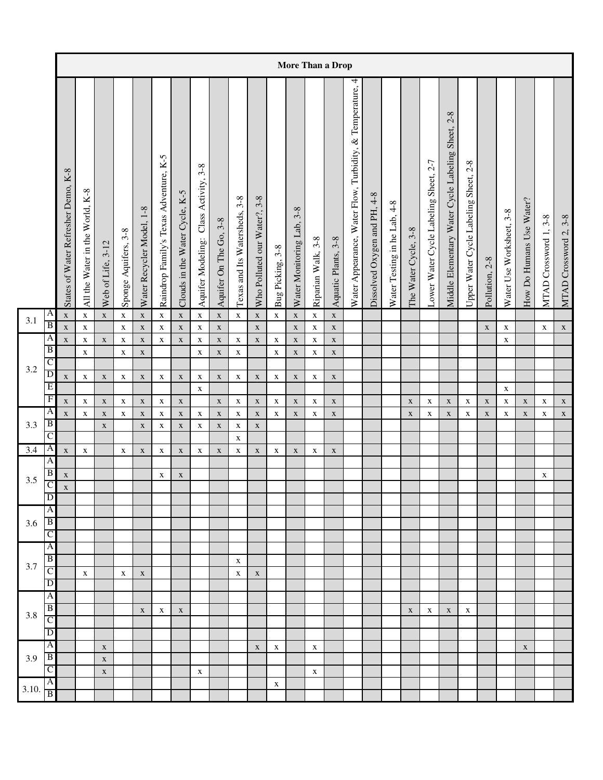|                  |                                  |                                     |                                      |                            |                      |                            |                                        |                                |                                          |                               |                               |                              |                  |                                  |                    | More Than a Drop    |                                                           |                              |                              |                      |                                       |                                                          |                                            |                |                          |                          |                       |                       |
|------------------|----------------------------------|-------------------------------------|--------------------------------------|----------------------------|----------------------|----------------------------|----------------------------------------|--------------------------------|------------------------------------------|-------------------------------|-------------------------------|------------------------------|------------------|----------------------------------|--------------------|---------------------|-----------------------------------------------------------|------------------------------|------------------------------|----------------------|---------------------------------------|----------------------------------------------------------|--------------------------------------------|----------------|--------------------------|--------------------------|-----------------------|-----------------------|
|                  |                                  | States of Water Refresher Demo, K-8 | $K-8$<br>All the Water in the World, | Web of Life, 3-12          | Sponge Aquifers, 3-8 | Water Recycler Model, 1-8  | Raindrop Family's Texas Adventure, K-5 | Clouds in the Water Cycle, K-5 | Class Activity, 3-8<br>Aquifer Modeling: | $3 - 8$<br>Aquifer On The Go, | Texas and Its Watersheds, 3-8 | Who Polluted our Water?, 3-8 | Bug Picking, 3-8 | $3 - 8$<br>Water Monitoring Lab, | Riparian Walk, 3-8 | Aquatic Plants, 3-8 | Water Appearance, Water Flow, Turbidity, & Temperature, 4 | Dissolved Oxygen and PH, 4-8 | Water Testing in he Lab, 4-8 | The Water Cycle, 3-8 | Lower Water Cycle Labeling Sheet, 2-7 | $2 - 8$<br>Middle Elementary Water Cycle Labeling Sheet, | $2-8$<br>Upper Water Cycle Labeling Sheet, | Pollution, 2-8 | Water Use Worksheet, 3-8 | How Do Humans Use Water? | MTAD Crossword 1, 3-8 | MTAD Crossword 2, 3-8 |
| 3.1              | A                                | $\mathbf X$                         | $\mathbf X$                          | $\mathbf X$                | $\mathbf X$          | $\mathbf X$                | $\mathbf X$                            | $\mathbf X$                    | $\mathbf X$                              | $\mathbf X$                   | $\mathbf X$                   | $\mathbf X$                  | $\mathbf X$      | $\mathbf X$                      | $\mathbf X$        | $\mathbf X$         |                                                           |                              |                              |                      |                                       |                                                          |                                            |                |                          |                          |                       |                       |
|                  | $\overline{B}$                   | $\mathbf X$                         | $\mathbf X$                          |                            | $\mathbf X$          | $\mathbf X$                | $\mathbf X$                            | $\mathbf X$                    | $\mathbf X$                              | $\mathbf X$                   |                               | $\mathbf X$                  |                  | $\mathbf X$                      | $\mathbf X$        | $\mathbf X$         |                                                           |                              |                              |                      |                                       |                                                          |                                            | $\mathbf X$    | $\mathbf X$              |                          | $\mathbf X$           | $\mathbf X$           |
|                  | $\mathsf{A}$                     | $\mathbf X$                         | $\mathbf X$                          | $\mathbf X$                | $\mathbf X$          | $\mathbf X$                | $\mathbf X$                            | $\mathbf X$                    | $\mathbf X$                              | $\mathbf X$                   | $\mathbf X$                   | $\mathbf X$                  | $\mathbf X$      | $\mathbf X$                      | $\mathbf X$        | $\mathbf X$         |                                                           |                              |                              |                      |                                       |                                                          |                                            |                | $\mathbf X$              |                          |                       |                       |
|                  | B                                |                                     | $\mathbf X$                          |                            | $\mathbf X$          | $\mathbf X$                |                                        |                                | $\mathbf X$                              | $\mathbf X$                   | $\mathbf X$                   |                              | $\mathbf X$      | $\mathbf X$                      | $\mathbf X$        | $\mathbf X$         |                                                           |                              |                              |                      |                                       |                                                          |                                            |                |                          |                          |                       |                       |
| 3.2              | C<br>$\overline{D}$              |                                     |                                      |                            |                      |                            |                                        |                                |                                          |                               |                               |                              |                  |                                  |                    |                     |                                                           |                              |                              |                      |                                       |                                                          |                                            |                |                          |                          |                       |                       |
|                  | E                                | $\mathbf X$                         | $\mathbf X$                          | $\mathbf X$                | $\mathbf X$          | $\mathbf X$                | $\mathbf X$                            | $\mathbf X$                    | $\mathbf X$                              | $\mathbf X$                   | $\mathbf X$                   | $\mathbf X$                  | $\mathbf X$      | $\mathbf X$                      | $\mathbf X$        | $\mathbf X$         |                                                           |                              |                              |                      |                                       |                                                          |                                            |                |                          |                          |                       |                       |
|                  | $\mathbf F$                      |                                     |                                      |                            |                      |                            |                                        |                                | $\mathbf X$                              |                               |                               |                              |                  |                                  |                    |                     |                                                           |                              |                              |                      |                                       |                                                          |                                            |                | $\mathbf X$              |                          |                       |                       |
|                  | A                                | $\mathbf X$                         | $\mathbf X$                          | $\mathbf X$                | $\mathbf X$          | $\mathbf X$                | $\mathbf X$                            | $\mathbf X$                    |                                          | $\mathbf X$                   | $\mathbf X$                   | $\mathbf X$                  | $\mathbf X$      | $\mathbf X$                      | $\mathbf X$        | $\mathbf X$         |                                                           |                              |                              | $\mathbf X$          | $\mathbf X$                           | $\mathbf X$                                              | X                                          | $\mathbf X$    | $\mathbf X$              | $\mathbf X$              | $\mathbf X$           | $\mathbf X$           |
| 3.3              | $\overline{B}$                   | $\mathbf X$                         | $\mathbf X$                          | $\mathbf X$<br>$\mathbf X$ | $\mathbf X$          | $\mathbf X$<br>$\mathbf X$ | $\mathbf X$<br>$\mathbf X$             | $\mathbf X$<br>$\mathbf X$     | $\mathbf X$<br>$\mathbf X$               | $\mathbf X$<br>$\mathbf X$    | $\mathbf X$<br>$\mathbf X$    | $\mathbf X$<br>$\mathbf X$   | $\mathbf X$      | $\mathbf X$                      | X                  | $\mathbf X$         |                                                           |                              |                              | $\mathbf X$          | $\mathbf X$                           | $\mathbf X$                                              | $\mathbf X$                                | $\mathbf X$    | $\mathbf X$              | $\mathbf X$              | $\mathbf X$           | $\mathbf X$           |
|                  | C                                |                                     |                                      |                            |                      |                            |                                        |                                |                                          |                               | $\mathbf X$                   |                              |                  |                                  |                    |                     |                                                           |                              |                              |                      |                                       |                                                          |                                            |                |                          |                          |                       |                       |
| $\overline{3.4}$ | $\overline{A}$                   | $\mathbf X$                         | $\mathbf X$                          |                            | $\mathbf X$          | $\mathbf X$                | $\mathbf X$                            | $\mathbf X$                    | $\mathbf X$                              | $\mathbf X$                   | $\mathbf X$                   | $\mathbf X$                  | $\mathbf X$      | $\mathbf X$                      | $\mathbf X$        | $\mathbf X$         |                                                           |                              |                              |                      |                                       |                                                          |                                            |                |                          |                          |                       |                       |
|                  | $\overline{A}$                   |                                     |                                      |                            |                      |                            |                                        |                                |                                          |                               |                               |                              |                  |                                  |                    |                     |                                                           |                              |                              |                      |                                       |                                                          |                                            |                |                          |                          |                       |                       |
|                  | B                                | $\mathbf X$                         |                                      |                            |                      |                            | $\mathbf X$                            | $\mathbf X$                    |                                          |                               |                               |                              |                  |                                  |                    |                     |                                                           |                              |                              |                      |                                       |                                                          |                                            |                |                          |                          | X                     |                       |
| 3.5              | $\mathsf{C}$                     | $\mathbf X$                         |                                      |                            |                      |                            |                                        |                                |                                          |                               |                               |                              |                  |                                  |                    |                     |                                                           |                              |                              |                      |                                       |                                                          |                                            |                |                          |                          |                       |                       |
|                  | $\overline{\mathbb{D}}$          |                                     |                                      |                            |                      |                            |                                        |                                |                                          |                               |                               |                              |                  |                                  |                    |                     |                                                           |                              |                              |                      |                                       |                                                          |                                            |                |                          |                          |                       |                       |
|                  | $\overline{A}$                   |                                     |                                      |                            |                      |                            |                                        |                                |                                          |                               |                               |                              |                  |                                  |                    |                     |                                                           |                              |                              |                      |                                       |                                                          |                                            |                |                          |                          |                       |                       |
| 3.6              | $\overline{B}$                   |                                     |                                      |                            |                      |                            |                                        |                                |                                          |                               |                               |                              |                  |                                  |                    |                     |                                                           |                              |                              |                      |                                       |                                                          |                                            |                |                          |                          |                       |                       |
|                  | $\overline{C}$                   |                                     |                                      |                            |                      |                            |                                        |                                |                                          |                               |                               |                              |                  |                                  |                    |                     |                                                           |                              |                              |                      |                                       |                                                          |                                            |                |                          |                          |                       |                       |
|                  | $\overline{A}$<br>$\overline{B}$ |                                     |                                      |                            |                      |                            |                                        |                                |                                          |                               |                               |                              |                  |                                  |                    |                     |                                                           |                              |                              |                      |                                       |                                                          |                                            |                |                          |                          |                       |                       |
| 3.7              | $\overline{C}$                   |                                     |                                      |                            |                      |                            |                                        |                                |                                          |                               | X                             |                              |                  |                                  |                    |                     |                                                           |                              |                              |                      |                                       |                                                          |                                            |                |                          |                          |                       |                       |
|                  | $\overline{D}$                   |                                     | $\mathbf X$                          |                            | $\mathbf X$          | $\mathbf X$                |                                        |                                |                                          |                               | $\mathbf X$                   | $\mathbf X$                  |                  |                                  |                    |                     |                                                           |                              |                              |                      |                                       |                                                          |                                            |                |                          |                          |                       |                       |
|                  | $\overline{A}$                   |                                     |                                      |                            |                      |                            |                                        |                                |                                          |                               |                               |                              |                  |                                  |                    |                     |                                                           |                              |                              |                      |                                       |                                                          |                                            |                |                          |                          |                       |                       |
|                  | $\overline{B}$                   |                                     |                                      |                            |                      | $\mathbf X$                | X                                      | $\mathbf X$                    |                                          |                               |                               |                              |                  |                                  |                    |                     |                                                           |                              |                              | $\mathbf X$          | X                                     | $\mathbf X$                                              | X                                          |                |                          |                          |                       |                       |
| 3.8              | C                                |                                     |                                      |                            |                      |                            |                                        |                                |                                          |                               |                               |                              |                  |                                  |                    |                     |                                                           |                              |                              |                      |                                       |                                                          |                                            |                |                          |                          |                       |                       |
|                  | D                                |                                     |                                      |                            |                      |                            |                                        |                                |                                          |                               |                               |                              |                  |                                  |                    |                     |                                                           |                              |                              |                      |                                       |                                                          |                                            |                |                          |                          |                       |                       |
|                  | $\mathsf{A}$                     |                                     |                                      | $\mathbf X$                |                      |                            |                                        |                                |                                          |                               |                               | $\mathbf X$                  | $\mathbf X$      |                                  | $\mathbf X$        |                     |                                                           |                              |                              |                      |                                       |                                                          |                                            |                |                          | $\mathbf X$              |                       |                       |
| 3.9              | $\vert$ B                        |                                     |                                      | $\mathbf X$                |                      |                            |                                        |                                |                                          |                               |                               |                              |                  |                                  |                    |                     |                                                           |                              |                              |                      |                                       |                                                          |                                            |                |                          |                          |                       |                       |
|                  | $\mathsf{C}$                     |                                     |                                      | $\mathbf X$                |                      |                            |                                        |                                | $\mathbf X$                              |                               |                               |                              |                  |                                  | $\mathbf X$        |                     |                                                           |                              |                              |                      |                                       |                                                          |                                            |                |                          |                          |                       |                       |
| 3.10.            | A                                |                                     |                                      |                            |                      |                            |                                        |                                |                                          |                               |                               |                              | $\mathbf X$      |                                  |                    |                     |                                                           |                              |                              |                      |                                       |                                                          |                                            |                |                          |                          |                       |                       |
|                  | $\overline{B}$                   |                                     |                                      |                            |                      |                            |                                        |                                |                                          |                               |                               |                              |                  |                                  |                    |                     |                                                           |                              |                              |                      |                                       |                                                          |                                            |                |                          |                          |                       |                       |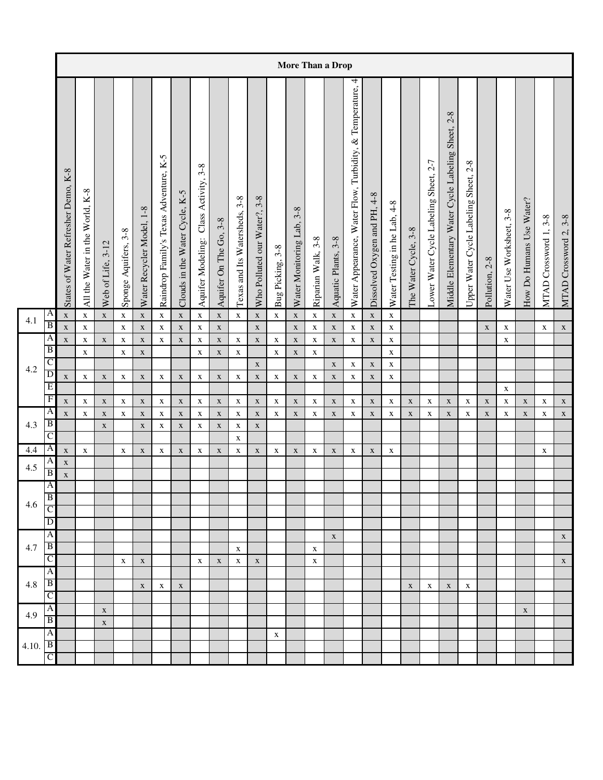|       |                     |                                     |                                      |                   |                      |                           |                                        |                                |                                          |                               |                               |                              |                  |                                  |                    | More Than a Drop           |                                                                 |                                   |                              |                      |                                       |                                                          |                                       |                |                          |                          |                       |                       |
|-------|---------------------|-------------------------------------|--------------------------------------|-------------------|----------------------|---------------------------|----------------------------------------|--------------------------------|------------------------------------------|-------------------------------|-------------------------------|------------------------------|------------------|----------------------------------|--------------------|----------------------------|-----------------------------------------------------------------|-----------------------------------|------------------------------|----------------------|---------------------------------------|----------------------------------------------------------|---------------------------------------|----------------|--------------------------|--------------------------|-----------------------|-----------------------|
|       |                     | States of Water Refresher Demo, K-8 | $K-8$<br>All the Water in the World, | Web of Life, 3-12 | Sponge Aquifers, 3-8 | Water Recycler Model, 1-8 | Raindrop Family's Texas Adventure, K-5 | Clouds in the Water Cycle, K-5 | Class Activity, 3-8<br>Aquifer Modeling: | $3 - 8$<br>Aquifer On The Go, | Texas and Its Watersheds, 3-8 | Who Polluted our Water?, 3-8 | Bug Picking, 3-8 | $3 - 8$<br>Water Monitoring Lab, | Riparian Walk, 3-8 | Aquatic Plants, 3-8        | 4<br>Temperature,<br>Water Appearance, Water Flow, Turbidity, & | $4-8$<br>Dissolved Oxygen and PH, | Water Testing in he Lab, 4-8 | The Water Cycle, 3-8 | Lower Water Cycle Labeling Sheet, 2-7 | $2 - 8$<br>Middle Elementary Water Cycle Labeling Sheet, | Upper Water Cycle Labeling Sheet, 2-8 | Pollution, 2-8 | Water Use Worksheet, 3-8 | How Do Humans Use Water? | MTAD Crossword 1, 3-8 | MTAD Crossword 2, 3-8 |
| 4.1   | A                   | $\mathbf X$                         | $\mathbf X$                          | $\mathbf X$       | $\mathbf X$          | $\mathbf X$               | $\mathbf X$                            | $\mathbf X$                    | $\mathbf X$                              | $\mathbf X$                   | $\mathbf X$                   | $\mathbf X$                  | $\mathbf X$      | $\mathbf X$                      | $\mathbf X$        | $\mathbf X$                | $\mathbf X$                                                     | $\mathbf X$                       | $\mathbf X$                  |                      |                                       |                                                          |                                       |                |                          |                          |                       |                       |
|       | $\overline{B}$      | $\mathbf X$                         | $\mathbf X$                          |                   | $\mathbf X$          | $\mathbf X$               | $\mathbf X$                            | $\mathbf X$                    | $\mathbf X$                              | $\mathbf X$                   |                               | $\mathbf X$                  |                  | $\mathbf X$                      | $\mathbf X$        | $\mathbf X$                | $\mathbf X$                                                     | $\mathbf X$                       | $\mathbf X$                  |                      |                                       |                                                          |                                       | $\mathbf X$    | $\mathbf X$              |                          | $\mathbf X$           | $\mathbf X$           |
|       | A<br>B              | $\mathbf X$                         | $\mathbf X$                          | $\mathbf X$       | $\mathbf X$          | $\mathbf X$               | $\mathbf X$                            | $\mathbf X$                    | $\mathbf X$                              | $\mathbf X$                   | $\mathbf X$                   | $\mathbf X$                  | $\mathbf X$      | $\mathbf X$                      | $\mathbf X$        | $\mathbf X$                | $\mathbf X$                                                     | $\mathbf X$                       | $\mathbf X$                  |                      |                                       |                                                          |                                       |                | $\mathbf X$              |                          |                       |                       |
|       | C                   |                                     | $\mathbf X$                          |                   | $\mathbf X$          | $\mathbf X$               |                                        |                                | $\mathbf X$                              | $\mathbf X$                   | $\mathbf X$                   |                              | $\mathbf X$      | $\mathbf X$                      | $\mathbf X$        |                            |                                                                 |                                   | $\mathbf X$                  |                      |                                       |                                                          |                                       |                |                          |                          |                       |                       |
| 4.2   | D                   | $\mathbf X$                         | $\mathbf X$                          | $\mathbf X$       | $\mathbf X$          | $\mathbf X$               | $\mathbf X$                            | $\mathbf X$                    | $\mathbf X$                              | $\mathbf X$                   | $\mathbf X$                   | $\mathbf X$<br>$\mathbf X$   | $\mathbf X$      | $\mathbf X$                      | X                  | $\mathbf X$<br>$\mathbf X$ | $\mathbf X$<br>$\mathbf X$                                      | $\mathbf X$<br>$\mathbf X$        | X<br>$\mathbf X$             |                      |                                       |                                                          |                                       |                |                          |                          |                       |                       |
|       | E                   |                                     |                                      |                   |                      |                           |                                        |                                |                                          |                               |                               |                              |                  |                                  |                    |                            |                                                                 |                                   |                              |                      |                                       |                                                          |                                       |                | $\mathbf X$              |                          |                       |                       |
|       | $\overline{F}$      | $\mathbf X$                         | $\mathbf X$                          | $\mathbf X$       | $\mathbf X$          | $\mathbf X$               | $\mathbf X$                            | $\mathbf X$                    | $\mathbf X$                              | $\mathbf X$                   | $\mathbf X$                   | $\mathbf X$                  | $\mathbf X$      | $\mathbf X$                      | $\mathbf X$        | $\mathbf X$                | $\mathbf X$                                                     | $\mathbf X$                       | $\mathbf X$                  | $\mathbf X$          | $\mathbf X$                           | $\mathbf X$                                              | $\mathbf X$                           | $\mathbf X$    | $\mathbf X$              | $\mathbf X$              | $\mathbf X$           | $\mathbf X$           |
|       | A                   | $\mathbf X$                         | $\mathbf X$                          | $\mathbf X$       | $\mathbf X$          | $\mathbf X$               | $\mathbf X$                            | $\mathbf X$                    | $\mathbf X$                              | $\mathbf X$                   | $\mathbf X$                   | $\mathbf X$                  | $\mathbf X$      | $\mathbf X$                      | $\mathbf X$        | $\mathbf X$                | $\mathbf X$                                                     | $\mathbf X$                       | $\mathbf X$                  | $\mathbf X$          | $\mathbf X$                           | $\mathbf X$                                              | $\mathbf X$                           | $\mathbf X$    | $\mathbf X$              | $\mathbf X$              | $\mathbf X$           | $\mathbf X$           |
| 4.3   | B                   |                                     |                                      | $\mathbf X$       |                      | $\mathbf X$               | $\mathbf X$                            | $\mathbf X$                    | $\mathbf X$                              | $\mathbf X$                   | $\mathbf X$                   | $\mathbf X$                  |                  |                                  |                    |                            |                                                                 |                                   |                              |                      |                                       |                                                          |                                       |                |                          |                          |                       |                       |
|       | C                   |                                     |                                      |                   |                      |                           |                                        |                                |                                          |                               | $\mathbf X$                   |                              |                  |                                  |                    |                            |                                                                 |                                   |                              |                      |                                       |                                                          |                                       |                |                          |                          |                       |                       |
| 4.4   | $\overline{A}$      | $\mathbf X$                         | $\mathbf X$                          |                   | $\mathbf X$          | $\mathbf X$               | $\mathbf X$                            | $\mathbf X$                    | $\mathbf X$                              | $\mathbf X$                   | $\mathbf X$                   | $\mathbf X$                  | $\mathbf X$      | $\mathbf X$                      | $\mathbf X$        | $\mathbf X$                | $\mathbf X$                                                     | $\mathbf X$                       | $\mathbf X$                  |                      |                                       |                                                          |                                       |                |                          |                          | $\mathbf X$           |                       |
| 4.5   | A<br>$\overline{B}$ | $\mathbf X$                         |                                      |                   |                      |                           |                                        |                                |                                          |                               |                               |                              |                  |                                  |                    |                            |                                                                 |                                   |                              |                      |                                       |                                                          |                                       |                |                          |                          |                       |                       |
|       | $\overline{A}$      | $\mathbf X$                         |                                      |                   |                      |                           |                                        |                                |                                          |                               |                               |                              |                  |                                  |                    |                            |                                                                 |                                   |                              |                      |                                       |                                                          |                                       |                |                          |                          |                       |                       |
|       | $\overline{B}$      |                                     |                                      |                   |                      |                           |                                        |                                |                                          |                               |                               |                              |                  |                                  |                    |                            |                                                                 |                                   |                              |                      |                                       |                                                          |                                       |                |                          |                          |                       |                       |
| 4.6   | C                   |                                     |                                      |                   |                      |                           |                                        |                                |                                          |                               |                               |                              |                  |                                  |                    |                            |                                                                 |                                   |                              |                      |                                       |                                                          |                                       |                |                          |                          |                       |                       |
|       | D                   |                                     |                                      |                   |                      |                           |                                        |                                |                                          |                               |                               |                              |                  |                                  |                    |                            |                                                                 |                                   |                              |                      |                                       |                                                          |                                       |                |                          |                          |                       |                       |
|       | A                   |                                     |                                      |                   |                      |                           |                                        |                                |                                          |                               |                               |                              |                  |                                  |                    | $\mathbf X$                |                                                                 |                                   |                              |                      |                                       |                                                          |                                       |                |                          |                          |                       | $\mathbf X$           |
| 4.7   | $\mathbf{B}$        |                                     |                                      |                   |                      |                           |                                        |                                |                                          |                               | $\mathbf X$                   |                              |                  |                                  | $\mathbf X$        |                            |                                                                 |                                   |                              |                      |                                       |                                                          |                                       |                |                          |                          |                       |                       |
|       | $\mathsf{C}$        |                                     |                                      |                   | $\mathbf X$          | $\mathbf X$               |                                        |                                | $\mathbf X$                              | $\mathbf X$                   | $\mathbf X$                   | $\mathbf X$                  |                  |                                  | $\mathbf X$        |                            |                                                                 |                                   |                              |                      |                                       |                                                          |                                       |                |                          |                          |                       | $\mathbf X$           |
|       | $\overline{A}$      |                                     |                                      |                   |                      |                           |                                        |                                |                                          |                               |                               |                              |                  |                                  |                    |                            |                                                                 |                                   |                              |                      |                                       |                                                          |                                       |                |                          |                          |                       |                       |
| 4.8   | $\overline{B}$      |                                     |                                      |                   |                      | $\mathbf X$               | X                                      | $\mathbf X$                    |                                          |                               |                               |                              |                  |                                  |                    |                            |                                                                 |                                   |                              | $\mathbf X$          | $\mathbf X$                           | $\mathbf X$                                              | $\mathbf X$                           |                |                          |                          |                       |                       |
|       | $\mathsf{C}$        |                                     |                                      |                   |                      |                           |                                        |                                |                                          |                               |                               |                              |                  |                                  |                    |                            |                                                                 |                                   |                              |                      |                                       |                                                          |                                       |                |                          |                          |                       |                       |
| 4.9   | A                   |                                     |                                      | $\mathbf X$       |                      |                           |                                        |                                |                                          |                               |                               |                              |                  |                                  |                    |                            |                                                                 |                                   |                              |                      |                                       |                                                          |                                       |                |                          | $\mathbf X$              |                       |                       |
|       | $\overline{B}$      |                                     |                                      | $\mathbf X$       |                      |                           |                                        |                                |                                          |                               |                               |                              |                  |                                  |                    |                            |                                                                 |                                   |                              |                      |                                       |                                                          |                                       |                |                          |                          |                       |                       |
|       | $\mathsf{A}$        |                                     |                                      |                   |                      |                           |                                        |                                |                                          |                               |                               |                              | $\mathbf X$      |                                  |                    |                            |                                                                 |                                   |                              |                      |                                       |                                                          |                                       |                |                          |                          |                       |                       |
| 4.10. | B                   |                                     |                                      |                   |                      |                           |                                        |                                |                                          |                               |                               |                              |                  |                                  |                    |                            |                                                                 |                                   |                              |                      |                                       |                                                          |                                       |                |                          |                          |                       |                       |
|       | $\mathcal C$        |                                     |                                      |                   |                      |                           |                                        |                                |                                          |                               |                               |                              |                  |                                  |                    |                            |                                                                 |                                   |                              |                      |                                       |                                                          |                                       |                |                          |                          |                       |                       |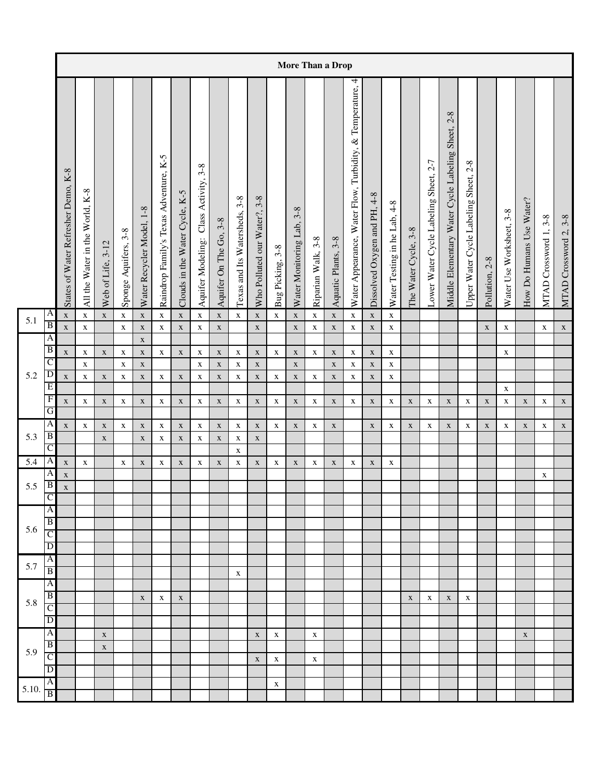|                  |                                  |                                     |                                      |                   |                      |                            |                                             |                                |                                          |                               |                               |                                     |                  |                                  |                           | More Than a Drop           |                                                              |                              |                              |                      |                                       |                                                          |                                            |                |                          |                          |                       |                       |
|------------------|----------------------------------|-------------------------------------|--------------------------------------|-------------------|----------------------|----------------------------|---------------------------------------------|--------------------------------|------------------------------------------|-------------------------------|-------------------------------|-------------------------------------|------------------|----------------------------------|---------------------------|----------------------------|--------------------------------------------------------------|------------------------------|------------------------------|----------------------|---------------------------------------|----------------------------------------------------------|--------------------------------------------|----------------|--------------------------|--------------------------|-----------------------|-----------------------|
|                  |                                  | States of Water Refresher Demo, K-8 | $K-8$<br>All the Water in the World, | Web of Life, 3-12 | Sponge Aquifers, 3-8 | Water Recycler Model, 1-8  | $K-5$<br>Raindrop Family's Texas Adventure, | Clouds in the Water Cycle, K-5 | Class Activity, 3-8<br>Aquifer Modeling: | $3 - 8$<br>Aquifer On The Go, | Texas and Its Watersheds, 3-8 | $3 - 8$<br>Who Polluted our Water?, | Bug Picking, 3-8 | $3 - 8$<br>Water Monitoring Lab, | $3 - 8$<br>Riparian Walk, | Aquatic Plants, 3-8        | 4<br>Water Appearance, Water Flow, Turbidity, & Temperature, | Dissolved Oxygen and PH, 4-8 | Water Testing in he Lab, 4-8 | The Water Cycle, 3-8 | Lower Water Cycle Labeling Sheet, 2-7 | $2 - 8$<br>Middle Elementary Water Cycle Labeling Sheet, | $2-8$<br>Upper Water Cycle Labeling Sheet, | Pollution, 2-8 | Water Use Worksheet, 3-8 | How Do Humans Use Water? | MTAD Crossword 1, 3-8 | MTAD Crossword 2, 3-8 |
| 5.1              | A                                | $\mathbf X$                         | $\mathbf X$                          | $\mathbf X$       | $\mathbf X$          | $\mathbf X$                | $\mathbf X$                                 | $\mathbf X$                    | $\mathbf X$                              | $\mathbf X$                   | $\mathbf X$                   | $\mathbf X$                         | $\mathbf X$      | $\mathbf X$                      | $\mathbf X$               | $\mathbf X$                | $\mathbf X$                                                  | $\mathbf X$                  | $\mathbf X$                  |                      |                                       |                                                          |                                            |                |                          |                          |                       |                       |
|                  | $\overline{B}$                   | $\mathbf X$                         | $\mathbf X$                          |                   | $\mathbf X$          | $\mathbf X$                | $\mathbf X$                                 | $\mathbf X$                    | $\mathbf X$                              | $\mathbf X$                   |                               | $\mathbf X$                         |                  | $\mathbf X$                      | $\mathbf X$               | $\mathbf X$                | $\mathbf X$                                                  | $\mathbf X$                  | $\mathbf X$                  |                      |                                       |                                                          |                                            | $\mathbf X$    | $\mathbf X$              |                          | $\mathbf X$           | $\mathbf X$           |
|                  | A                                |                                     |                                      |                   |                      | $\mathbf X$                |                                             |                                |                                          |                               |                               |                                     |                  |                                  |                           |                            |                                                              |                              |                              |                      |                                       |                                                          |                                            |                |                          |                          |                       |                       |
|                  | $\overline{B}$<br>$\overline{C}$ | $\mathbf X$                         | $\mathbf X$                          | $\mathbf X$       | $\mathbf X$          | $\mathbf X$                | $\mathbf X$                                 | $\mathbf X$                    | $\mathbf X$                              | $\mathbf X$                   | $\mathbf X$                   | $\mathbf X$                         | $\mathbf X$      | $\mathbf X$                      | $\mathbf X$               | $\mathbf X$                | $\mathbf X$                                                  | $\mathbf X$                  | $\mathbf X$                  |                      |                                       |                                                          |                                            |                | $\mathbf X$              |                          |                       |                       |
| 5.2              | D                                | $\mathbf X$                         | $\mathbf X$<br>$\mathbf X$           | $\mathbf X$       | $\mathbf X$          | $\mathbf X$<br>$\mathbf X$ |                                             | $\mathbf X$                    | $\mathbf X$<br>$\mathbf X$               | $\mathbf X$<br>$\mathbf X$    | $\mathbf X$<br>X              | $\mathbf X$                         | $\mathbf X$      | $\mathbf X$<br>$\mathbf X$       |                           | $\mathbf X$<br>$\mathbf X$ | $\mathbf X$                                                  | $\mathbf X$<br>$\mathbf X$   | $\mathbf X$                  |                      |                                       |                                                          |                                            |                |                          |                          |                       |                       |
|                  | E                                |                                     |                                      |                   | $\mathbf X$          |                            | X                                           |                                |                                          |                               |                               | X                                   |                  |                                  | X                         |                            | X                                                            |                              | X                            |                      |                                       |                                                          |                                            |                | $\mathbf X$              |                          |                       |                       |
|                  | $\overline{F}$                   | $\mathbf X$                         | $\mathbf X$                          | $\mathbf X$       | X                    | $\mathbf X$                | $\mathbf X$                                 | $\mathbf X$                    | $\mathbf X$                              | $\mathbf X$                   | $\mathbf X$                   | $\mathbf X$                         | $\mathbf X$      | $\mathbf X$                      | $\mathbf X$               | $\mathbf X$                | $\mathbf X$                                                  | $\mathbf X$                  | X                            | $\mathbf X$          | $\mathbf X$                           | $\mathbf X$                                              | X                                          | $\mathbf X$    | $\mathbf X$              | $\mathbf X$              | $\mathbf X$           | $\mathbf X$           |
|                  | G                                |                                     |                                      |                   |                      |                            |                                             |                                |                                          |                               |                               |                                     |                  |                                  |                           |                            |                                                              |                              |                              |                      |                                       |                                                          |                                            |                |                          |                          |                       |                       |
|                  | $\overline{A}$                   | $\mathbf X$                         | $\mathbf X$                          | $\mathbf X$       | $\mathbf X$          | $\mathbf X$                | $\mathbf X$                                 | $\mathbf X$                    | $\mathbf X$                              | $\mathbf X$                   | $\mathbf X$                   | $\mathbf X$                         | $\mathbf X$      | $\mathbf X$                      | $\mathbf X$               | $\mathbf X$                |                                                              | $\mathbf X$                  | $\mathbf X$                  | $\mathbf X$          | $\mathbf X$                           | $\mathbf X$                                              | $\mathbf X$                                | $\mathbf X$    | $\mathbf X$              | $\mathbf X$              | $\mathbf X$           | $\mathbf X$           |
| 5.3              | $\overline{B}$                   |                                     |                                      | $\mathbf X$       |                      | $\mathbf X$                | $\mathbf X$                                 | $\mathbf X$                    | $\mathbf X$                              | $\mathbf X$                   | $\mathbf X$                   | $\mathbf X$                         |                  |                                  |                           |                            |                                                              |                              |                              |                      |                                       |                                                          |                                            |                |                          |                          |                       |                       |
|                  | C                                |                                     |                                      |                   |                      |                            |                                             |                                |                                          |                               | $\mathbf X$                   |                                     |                  |                                  |                           |                            |                                                              |                              |                              |                      |                                       |                                                          |                                            |                |                          |                          |                       |                       |
| $\overline{5.4}$ | A                                | $\mathbf X$                         | $\mathbf X$                          |                   | $\mathbf X$          | $\mathbf X$                | $\mathbf X$                                 | $\mathbf X$                    | $\mathbf X$                              | $\mathbf X$                   | $\mathbf X$                   | $\mathbf X$                         | $\mathbf X$      | $\mathbf X$                      | $\mathbf X$               | $\mathbf X$                | $\mathbf X$                                                  | $\mathbf X$                  | X                            |                      |                                       |                                                          |                                            |                |                          |                          |                       |                       |
| 5.5              | A<br>$\vert$ B                   | $\mathbf X$                         |                                      |                   |                      |                            |                                             |                                |                                          |                               |                               |                                     |                  |                                  |                           |                            |                                                              |                              |                              |                      |                                       |                                                          |                                            |                |                          |                          | X                     |                       |
|                  | Ċ                                | $\mathbf X$                         |                                      |                   |                      |                            |                                             |                                |                                          |                               |                               |                                     |                  |                                  |                           |                            |                                                              |                              |                              |                      |                                       |                                                          |                                            |                |                          |                          |                       |                       |
|                  | $\overline{A}$                   |                                     |                                      |                   |                      |                            |                                             |                                |                                          |                               |                               |                                     |                  |                                  |                           |                            |                                                              |                              |                              |                      |                                       |                                                          |                                            |                |                          |                          |                       |                       |
|                  | B                                |                                     |                                      |                   |                      |                            |                                             |                                |                                          |                               |                               |                                     |                  |                                  |                           |                            |                                                              |                              |                              |                      |                                       |                                                          |                                            |                |                          |                          |                       |                       |
| 5.6              | $\overline{C}$                   |                                     |                                      |                   |                      |                            |                                             |                                |                                          |                               |                               |                                     |                  |                                  |                           |                            |                                                              |                              |                              |                      |                                       |                                                          |                                            |                |                          |                          |                       |                       |
|                  | $\mathbf D$                      |                                     |                                      |                   |                      |                            |                                             |                                |                                          |                               |                               |                                     |                  |                                  |                           |                            |                                                              |                              |                              |                      |                                       |                                                          |                                            |                |                          |                          |                       |                       |
| 5.7              | $\overline{A}$                   |                                     |                                      |                   |                      |                            |                                             |                                |                                          |                               |                               |                                     |                  |                                  |                           |                            |                                                              |                              |                              |                      |                                       |                                                          |                                            |                |                          |                          |                       |                       |
|                  | B                                |                                     |                                      |                   |                      |                            |                                             |                                |                                          |                               | $\mathbf X$                   |                                     |                  |                                  |                           |                            |                                                              |                              |                              |                      |                                       |                                                          |                                            |                |                          |                          |                       |                       |
|                  | $\overline{A}$<br>$\overline{B}$ |                                     |                                      |                   |                      |                            |                                             |                                |                                          |                               |                               |                                     |                  |                                  |                           |                            |                                                              |                              |                              |                      |                                       |                                                          |                                            |                |                          |                          |                       |                       |
| 5.8              | $\mathsf{C}$                     |                                     |                                      |                   |                      | $\mathbf X$                | $\mathbf X$                                 | $\mathbf X$                    |                                          |                               |                               |                                     |                  |                                  |                           |                            |                                                              |                              |                              | $\mathbf X$          | $\mathbf X$                           | $\mathbf X$                                              | X                                          |                |                          |                          |                       |                       |
|                  | $\overline{D}$                   |                                     |                                      |                   |                      |                            |                                             |                                |                                          |                               |                               |                                     |                  |                                  |                           |                            |                                                              |                              |                              |                      |                                       |                                                          |                                            |                |                          |                          |                       |                       |
|                  | A                                |                                     |                                      | $\mathbf X$       |                      |                            |                                             |                                |                                          |                               |                               | $\mathbf X$                         | $\mathbf X$      |                                  | $\mathbf X$               |                            |                                                              |                              |                              |                      |                                       |                                                          |                                            |                |                          | $\mathbf X$              |                       |                       |
|                  | $\vert$ B                        |                                     |                                      | $\mathbf X$       |                      |                            |                                             |                                |                                          |                               |                               |                                     |                  |                                  |                           |                            |                                                              |                              |                              |                      |                                       |                                                          |                                            |                |                          |                          |                       |                       |
| 5.9              | $\overline{C}$                   |                                     |                                      |                   |                      |                            |                                             |                                |                                          |                               |                               | $\mathbf X$                         | $\mathbf X$      |                                  | $\mathbf X$               |                            |                                                              |                              |                              |                      |                                       |                                                          |                                            |                |                          |                          |                       |                       |
|                  | $\overline{D}$                   |                                     |                                      |                   |                      |                            |                                             |                                |                                          |                               |                               |                                     |                  |                                  |                           |                            |                                                              |                              |                              |                      |                                       |                                                          |                                            |                |                          |                          |                       |                       |
| 5.10.            | A                                |                                     |                                      |                   |                      |                            |                                             |                                |                                          |                               |                               |                                     | $\mathbf X$      |                                  |                           |                            |                                                              |                              |                              |                      |                                       |                                                          |                                            |                |                          |                          |                       |                       |
|                  | B                                |                                     |                                      |                   |                      |                            |                                             |                                |                                          |                               |                               |                                     |                  |                                  |                           |                            |                                                              |                              |                              |                      |                                       |                                                          |                                            |                |                          |                          |                       |                       |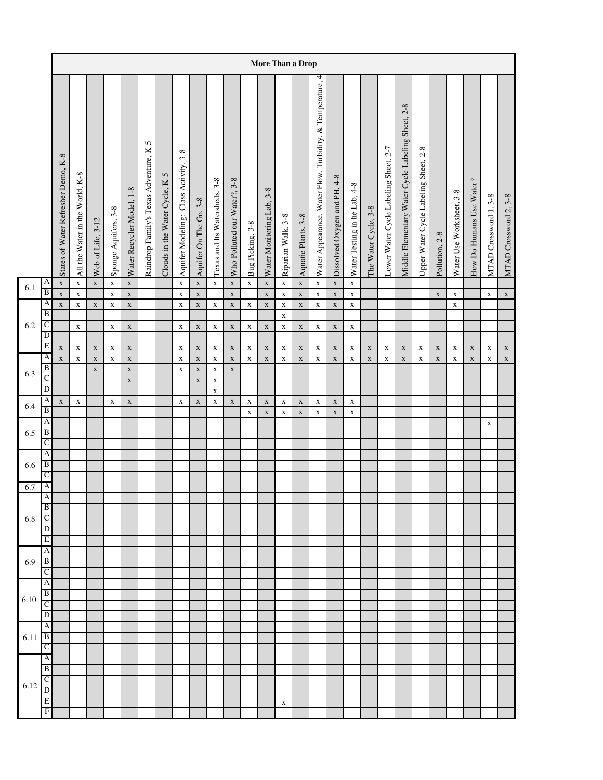|         |                                         |                                     |                                 |                   |                            |                            |                                        |                                |                                       |                            |                               |                              |                  |                            | More Than a Drop           |                            |                                                           |                              |                              |                      |                                       |                                                   |                                       |                |                          |                          |                       |                       |
|---------|-----------------------------------------|-------------------------------------|---------------------------------|-------------------|----------------------------|----------------------------|----------------------------------------|--------------------------------|---------------------------------------|----------------------------|-------------------------------|------------------------------|------------------|----------------------------|----------------------------|----------------------------|-----------------------------------------------------------|------------------------------|------------------------------|----------------------|---------------------------------------|---------------------------------------------------|---------------------------------------|----------------|--------------------------|--------------------------|-----------------------|-----------------------|
|         |                                         | States of Water Refresher Demo, K-8 | All the Water in the World, K-8 | Web of Life, 3-12 | Sponge Aquifers, 3-8       | Water Recycler Model, 1-8  | Raindrop Family's Texas Adventure, K-5 | Clouds in the Water Cycle, K-5 | Aquifer Modeling: Class Activity, 3-8 | Aquifer On The Go, 3-8     | Texas and Its Watersheds, 3-8 | Who Polluted our Water?, 3-8 | Bug Picking, 3-8 | Water Monitoring Lab, 3-8  | Riparian Walk, 3-8         | Aquatic Plants, 3-8        | Water Appearance, Water Flow, Turbidity, & Temperature, 4 | Dissolved Oxygen and PH, 4-8 | Water Testing in he Lab, 4-8 | The Water Cycle, 3-8 | Lower Water Cycle Labeling Sheet, 2-7 | Middle Elementary Water Cycle Labeling Sheet, 2-8 | Upper Water Cycle Labeling Sheet, 2-8 | Pollution, 2-8 | Water Use Worksheet, 3-8 | How Do Humans Use Water? | MTAD Crossword 1, 3-8 | MTAD Crossword 2, 3-8 |
| 6.1     | $\mathbf{A}$<br>$\overline{\mathbf{B}}$ | $\mathbf X$<br>$\mathbf X$          | $\mathbf x$<br>$\mathbf X$      | $\mathbf X$       | $\mathbf X$<br>$\mathbf X$ | $\mathbf X$<br>$\mathbf X$ |                                        |                                | $\mathbf X$<br>$\mathbf X$            | $\mathbf X$<br>$\mathbf X$ | $\mathbf X$                   | $\mathbf X$<br>$\mathbf X$   | $\mathbf x$      | $\mathbf X$<br>$\mathbf x$ | $\mathbf X$<br>$\mathbf X$ | $\mathbf X$<br>$\mathbf X$ | $\mathbf X$<br>$\mathbf X$                                | $\mathbf X$<br>$\mathbf X$   | $\mathbf X$<br>$\mathbf X$   |                      |                                       |                                                   |                                       | $\mathbf X$    | $\mathbf X$              |                          | $\mathbf X$           | $\mathbf X$           |
|         | A<br>B                                  | $\mathbf X$                         | $\mathbf X$                     | $\mathbf X$       | $\mathbf X$                | $\mathbf X$                |                                        |                                | $\mathbf X$                           | $\mathbf X$                | $\mathbf X$                   | $\mathbf X$                  | $\mathbf X$      | $\mathbf X$                | $\mathbf X$                | $\mathbf X$                | $\mathbf X$                                               | $\mathbf X$                  | $\mathbf X$                  |                      |                                       |                                                   |                                       |                | $\mathbf X$              |                          |                       |                       |
| $6.2\,$ | $\overline{C}$                          |                                     | $\mathbf X$                     |                   | $\mathbf X$                | $\mathbf X$                |                                        |                                | $\mathbf X$                           | $\mathbf X$                | $\mathbf X$                   | $\mathbf X$                  | $\mathbf X$      | $\mathbf X$                | $\mathbf X$<br>$\mathbf X$ | $\mathbf X$                | $\mathbf X$                                               | $\mathbf X$                  | $\mathbf X$                  |                      |                                       |                                                   |                                       |                |                          |                          |                       |                       |
|         | $\overline{D}$<br>Ε                     | $\mathbf X$                         | $\mathbf X$                     | $\mathbf X$       | $\mathbf X$                | $\mathbf X$                |                                        |                                | $\mathbf X$                           | $\mathbf X$                | $\mathbf X$                   | $\mathbf X$                  | $\mathbf X$      | $\mathbf X$                | $\mathbf X$                | $\mathbf X$                | $\mathbf X$                                               | $\mathbf X$                  | $\mathbf X$                  | $\mathbf X$          | $\mathbf X$                           | $\mathbf X$                                       | $\mathbf X$                           | $\mathbf X$    | $\mathbf X$              | $\mathbf X$              | $\mathbf X$           | $\mathbf X$           |
|         | A                                       | $\mathbf X$                         | $\mathbf X$                     | $\mathbf X$       | $\mathbf X$                | $\mathbf X$                |                                        |                                | $\mathbf X$                           | $\mathbf X$                | $\mathbf X$                   | $\mathbf X$                  | $\mathbf X$      | $\mathbf X$                | $\mathbf X$                | $\mathbf X$                | $\mathbf X$                                               | $\mathbf X$                  | $\mathbf X$                  | $\mathbf X$          | $\mathbf X$                           | $\mathbf X$                                       | $\mathbf X$                           | $\mathbf X$    | X                        | $\mathbf X$              | $\mathbf X$           | $\mathbf X$           |
| 6.3     | B<br>$\overline{\rm c}$                 |                                     |                                 | $\mathbf X$       |                            | $\mathbf X$                |                                        |                                | $\mathbf X$                           | $\mathbf X$                | $\mathbf X$                   | $\mathbf X$                  |                  |                            |                            |                            |                                                           |                              |                              |                      |                                       |                                                   |                                       |                |                          |                          |                       |                       |
|         | D                                       |                                     |                                 |                   |                            | $\mathbf X$                |                                        |                                |                                       | $\mathbf X$                | $\mathbf X$<br>$\mathbf X$    |                              |                  |                            |                            |                            |                                                           |                              |                              |                      |                                       |                                                   |                                       |                |                          |                          |                       |                       |
| 6.4     | A<br>$\overline{B}$                     | $\mathbf X$                         | $\mathbf X$                     |                   | $\mathbf X$                | $\mathbf X$                |                                        |                                | $\mathbf X$                           | $\mathbf X$                | $\mathbf X$                   | $\mathbf x$                  | $\mathbf X$      | $\mathbf X$                | $\mathbf X$                | $\mathbf X$                | $\mathbf X$                                               | $\mathbf X$                  | $\mathbf X$                  |                      |                                       |                                                   |                                       |                |                          |                          |                       |                       |
|         | A                                       |                                     |                                 |                   |                            |                            |                                        |                                |                                       |                            |                               |                              | $\mathbf X$      | $\mathbf X$                | $\mathbf X$                | $\mathbf X$                | $\mathbf X$                                               | $\mathbf X$                  | $\mathbf X$                  |                      |                                       |                                                   |                                       |                |                          |                          | $\mathbf X$           |                       |
| 6.5     | B<br>C                                  |                                     |                                 |                   |                            |                            |                                        |                                |                                       |                            |                               |                              |                  |                            |                            |                            |                                                           |                              |                              |                      |                                       |                                                   |                                       |                |                          |                          |                       |                       |
|         | A                                       |                                     |                                 |                   |                            |                            |                                        |                                |                                       |                            |                               |                              |                  |                            |                            |                            |                                                           |                              |                              |                      |                                       |                                                   |                                       |                |                          |                          |                       |                       |
| 6.6     | $\, {\bf B}$<br>C                       |                                     |                                 |                   |                            |                            |                                        |                                |                                       |                            |                               |                              |                  |                            |                            |                            |                                                           |                              |                              |                      |                                       |                                                   |                                       |                |                          |                          |                       |                       |
| 6.7     | A                                       |                                     |                                 |                   |                            |                            |                                        |                                |                                       |                            |                               |                              |                  |                            |                            |                            |                                                           |                              |                              |                      |                                       |                                                   |                                       |                |                          |                          |                       |                       |
|         | B                                       |                                     |                                 |                   |                            |                            |                                        |                                |                                       |                            |                               |                              |                  |                            |                            |                            |                                                           |                              |                              |                      |                                       |                                                   |                                       |                |                          |                          |                       |                       |
| 6.8     | C                                       |                                     |                                 |                   |                            |                            |                                        |                                |                                       |                            |                               |                              |                  |                            |                            |                            |                                                           |                              |                              |                      |                                       |                                                   |                                       |                |                          |                          |                       |                       |
|         | D                                       |                                     |                                 |                   |                            |                            |                                        |                                |                                       |                            |                               |                              |                  |                            |                            |                            |                                                           |                              |                              |                      |                                       |                                                   |                                       |                |                          |                          |                       |                       |
|         | Ε<br>A                                  |                                     |                                 |                   |                            |                            |                                        |                                |                                       |                            |                               |                              |                  |                            |                            |                            |                                                           |                              |                              |                      |                                       |                                                   |                                       |                |                          |                          |                       |                       |
| 6.9     | $\overline{B}$                          |                                     |                                 |                   |                            |                            |                                        |                                |                                       |                            |                               |                              |                  |                            |                            |                            |                                                           |                              |                              |                      |                                       |                                                   |                                       |                |                          |                          |                       |                       |
|         | C<br>A                                  |                                     |                                 |                   |                            |                            |                                        |                                |                                       |                            |                               |                              |                  |                            |                            |                            |                                                           |                              |                              |                      |                                       |                                                   |                                       |                |                          |                          |                       |                       |
| 6.10.   | B                                       |                                     |                                 |                   |                            |                            |                                        |                                |                                       |                            |                               |                              |                  |                            |                            |                            |                                                           |                              |                              |                      |                                       |                                                   |                                       |                |                          |                          |                       |                       |
|         | $\overline{\rm c}$                      |                                     |                                 |                   |                            |                            |                                        |                                |                                       |                            |                               |                              |                  |                            |                            |                            |                                                           |                              |                              |                      |                                       |                                                   |                                       |                |                          |                          |                       |                       |
|         | D<br>A                                  |                                     |                                 |                   |                            |                            |                                        |                                |                                       |                            |                               |                              |                  |                            |                            |                            |                                                           |                              |                              |                      |                                       |                                                   |                                       |                |                          |                          |                       |                       |
| 6.11    | $\overline{B}$                          |                                     |                                 |                   |                            |                            |                                        |                                |                                       |                            |                               |                              |                  |                            |                            |                            |                                                           |                              |                              |                      |                                       |                                                   |                                       |                |                          |                          |                       |                       |
|         | $\mathsf{C}$<br>A                       |                                     |                                 |                   |                            |                            |                                        |                                |                                       |                            |                               |                              |                  |                            |                            |                            |                                                           |                              |                              |                      |                                       |                                                   |                                       |                |                          |                          |                       |                       |
|         | B                                       |                                     |                                 |                   |                            |                            |                                        |                                |                                       |                            |                               |                              |                  |                            |                            |                            |                                                           |                              |                              |                      |                                       |                                                   |                                       |                |                          |                          |                       |                       |
| 6.12    | C<br>D                                  |                                     |                                 |                   |                            |                            |                                        |                                |                                       |                            |                               |                              |                  |                            |                            |                            |                                                           |                              |                              |                      |                                       |                                                   |                                       |                |                          |                          |                       |                       |
|         | E                                       |                                     |                                 |                   |                            |                            |                                        |                                |                                       |                            |                               |                              |                  |                            | $\mathbf X$                |                            |                                                           |                              |                              |                      |                                       |                                                   |                                       |                |                          |                          |                       |                       |
|         | F                                       |                                     |                                 |                   |                            |                            |                                        |                                |                                       |                            |                               |                              |                  |                            |                            |                            |                                                           |                              |                              |                      |                                       |                                                   |                                       |                |                          |                          |                       |                       |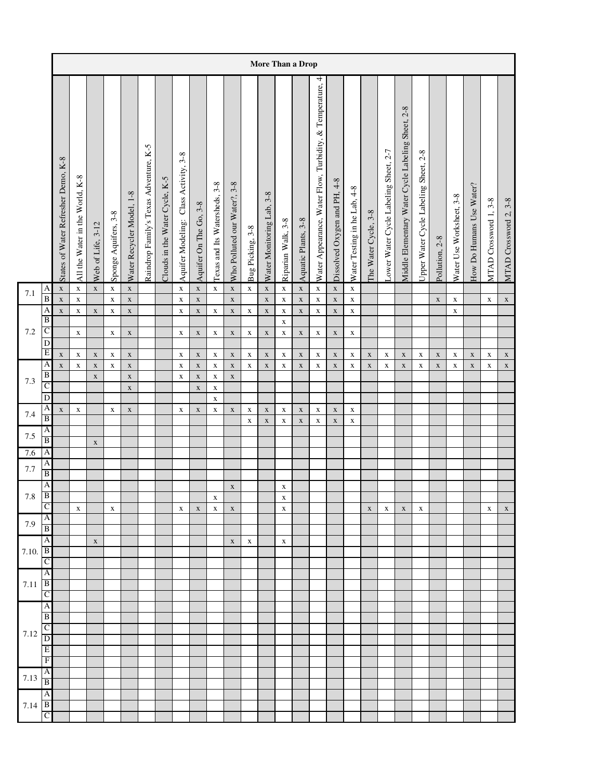|         |                                |                                     |                                 |                            |                            |                            |                                        |                                |                                       |                            |                               |                              |                            |                            |                            | More Than a Drop           |                                                           |                              |                              |                      |                                       |                                                   |                                       |                |                            |                          |                       |                       |
|---------|--------------------------------|-------------------------------------|---------------------------------|----------------------------|----------------------------|----------------------------|----------------------------------------|--------------------------------|---------------------------------------|----------------------------|-------------------------------|------------------------------|----------------------------|----------------------------|----------------------------|----------------------------|-----------------------------------------------------------|------------------------------|------------------------------|----------------------|---------------------------------------|---------------------------------------------------|---------------------------------------|----------------|----------------------------|--------------------------|-----------------------|-----------------------|
|         |                                | States of Water Refresher Demo, K-8 | All the Water in the World, K-8 | Web of Life, 3-12          | Sponge Aquifers, 3-8       | Water Recycler Model, 1-8  | Raindrop Family's Texas Adventure, K-5 | Clouds in the Water Cycle, K-5 | Aquifer Modeling: Class Activity, 3-8 | Aquifer On The Go, 3-8     | Texas and Its Watersheds, 3-8 | Who Polluted our Water?, 3-8 | Bug Picking, 3-8           | Water Monitoring Lab, 3-8  | Riparian Walk, 3-8         | Aquatic Plants, 3-8        | Water Appearance, Water Flow, Turbidity, & Temperature, 4 | Dissolved Oxygen and PH, 4-8 | Water Testing in he Lab, 4-8 | The Water Cycle, 3-8 | Lower Water Cycle Labeling Sheet, 2-7 | Middle Elementary Water Cycle Labeling Sheet, 2-8 | Upper Water Cycle Labeling Sheet, 2-8 | Pollution, 2-8 | Water Use Worksheet, 3-8   | How Do Humans Use Water? | MTAD Crossword 1, 3-8 | MTAD Crossword 2, 3-8 |
| 7.1     | A                              | $\mathbf X$                         | $\mathbf X$                     | $\mathbf X$                | $\mathbf X$                | $\mathbf X$                |                                        |                                | $\mathbf x$                           | $\mathbf X$                | $\mathbf x$                   | $\mathbf x$                  | $\mathbf X$                | $\mathbf x$                | $\mathbf X$                | $\mathbf X$                | $\mathbf x$                                               | $\mathbf X$                  | $\mathbf x$                  |                      |                                       |                                                   |                                       |                |                            |                          |                       |                       |
|         | $\, {\bf B}$<br>A              | $\mathbf X$<br>$\mathbf x$          | $\mathbf X$<br>$\mathbf X$      | $\mathbf X$                | $\mathbf X$<br>$\mathbf X$ | $\mathbf X$<br>$\mathbf X$ |                                        |                                | $\mathbf x$<br>$\mathbf X$            | $\mathbf X$<br>$\mathbf X$ | $\mathbf X$                   | $\mathbf x$<br>$\mathbf X$   | $\mathbf X$                | $\mathbf x$<br>$\mathbf x$ | $\mathbf X$<br>$\mathbf X$ | $\mathbf X$<br>$\mathbf X$ | $\mathbf X$<br>$\mathbf X$                                | $\mathbf X$<br>$\mathbf X$   | $\mathbf X$<br>$\mathbf X$   |                      |                                       |                                                   |                                       | $\mathbf X$    | $\mathbf x$<br>$\mathbf X$ |                          | $\mathbf X$           | $\mathbf X$           |
|         | B                              |                                     |                                 |                            |                            |                            |                                        |                                |                                       |                            |                               |                              |                            |                            | $\mathbf X$                |                            |                                                           |                              |                              |                      |                                       |                                                   |                                       |                |                            |                          |                       |                       |
| $7.2\,$ | $\overline{C}$<br>$\mathbf D$  |                                     | $\mathbf X$                     |                            | $\mathbf X$                | $\mathbf X$                |                                        |                                | X                                     | $\mathbf X$                | $\mathbf X$                   | $\mathbf X$                  | $\mathbf X$                | $\mathbf X$                | $\mathbf X$                | $\mathbf X$                | $\mathbf X$                                               | $\mathbf X$                  | $\mathbf X$                  |                      |                                       |                                                   |                                       |                |                            |                          |                       |                       |
|         | $\overline{E}$                 | $\mathbf X$                         | $\mathbf X$                     | $\mathbf X$                | $\mathbf X$                | $\mathbf X$                |                                        |                                | X                                     | $\mathbf X$                | $\mathbf X$                   | $\mathbf X$                  | $\mathbf X$                | $\mathbf X$                | $\mathbf X$                | $\mathbf X$                | $\mathbf X$                                               | $\mathbf X$                  | $\mathbf X$                  | $\mathbf X$          | $\mathbf X$                           | $\mathbf X$                                       | $\mathbf X$                           | $\mathbf X$    | $\mathbf X$                | $\mathbf X$              | $\mathbf X$           | $\mathbf X$           |
|         | A<br>$\overline{B}$            | $\mathbf X$                         | $\mathbf X$                     | $\mathbf X$<br>$\mathbf X$ | $\mathbf X$                | $\mathbf X$<br>$\mathbf X$ |                                        |                                | $\mathbf X$<br>X                      | $\mathbf X$<br>$\mathbf X$ | $\mathbf X$<br>$\mathbf X$    | $\mathbf X$<br>$\mathbf X$   | $\mathbf X$                | $\mathbf X$                | $\mathbf X$                | $\mathbf X$                | $\mathbf X$                                               | $\mathbf X$                  | $\mathbf X$                  | $\mathbf X$          | $\mathbf X$                           | $\mathbf X$                                       | $\mathbf X$                           | $\mathbf X$    | $\mathbf X$                | $\mathbf X$              | $\mathbf X$           | $\mathbf X$           |
| 7.3     | $\overline{C}$                 |                                     |                                 |                            |                            | $\mathbf X$                |                                        |                                |                                       | $\mathbf X$                | $\mathbf X$                   |                              |                            |                            |                            |                            |                                                           |                              |                              |                      |                                       |                                                   |                                       |                |                            |                          |                       |                       |
|         | D                              |                                     |                                 |                            |                            |                            |                                        |                                |                                       |                            | $\mathbf X$                   |                              |                            |                            |                            |                            |                                                           |                              |                              |                      |                                       |                                                   |                                       |                |                            |                          |                       |                       |
| 7.4     | A<br>$\, {\bf B}$              | $\mathbf X$                         | $\mathbf X$                     |                            | $\mathbf X$                | $\mathbf X$                |                                        |                                | $\mathbf X$                           | $\mathbf X$                | $\mathbf X$                   | $\mathbf X$                  | $\mathbf X$<br>$\mathbf X$ | $\mathbf X$<br>$\mathbf x$ | $\mathbf X$<br>$\mathbf X$ | $\mathbf X$<br>$\mathbf X$ | $\mathbf X$<br>$\mathbf X$                                | $\mathbf X$<br>$\mathbf X$   | $\mathbf X$<br>$\mathbf x$   |                      |                                       |                                                   |                                       |                |                            |                          |                       |                       |
| 7.5     | A                              |                                     |                                 |                            |                            |                            |                                        |                                |                                       |                            |                               |                              |                            |                            |                            |                            |                                                           |                              |                              |                      |                                       |                                                   |                                       |                |                            |                          |                       |                       |
|         | $\overline{\mathbf{B}}$<br>A   |                                     |                                 | $\mathbf X$                |                            |                            |                                        |                                |                                       |                            |                               |                              |                            |                            |                            |                            |                                                           |                              |                              |                      |                                       |                                                   |                                       |                |                            |                          |                       |                       |
| 7.6     | $\overline{A}$                 |                                     |                                 |                            |                            |                            |                                        |                                |                                       |                            |                               |                              |                            |                            |                            |                            |                                                           |                              |                              |                      |                                       |                                                   |                                       |                |                            |                          |                       |                       |
| 7.7     | $\overline{B}$                 |                                     |                                 |                            |                            |                            |                                        |                                |                                       |                            |                               |                              |                            |                            |                            |                            |                                                           |                              |                              |                      |                                       |                                                   |                                       |                |                            |                          |                       |                       |
| $7.8\,$ | $\overline{A}$<br>$\, {\bf B}$ |                                     |                                 |                            |                            |                            |                                        |                                |                                       |                            | $\mathbf X$                   | $\mathbf X$                  |                            |                            | $\mathbf X$<br>$\mathbf x$ |                            |                                                           |                              |                              |                      |                                       |                                                   |                                       |                |                            |                          |                       |                       |
|         | $\overline{C}$                 |                                     | $\mathbf X$                     |                            | $\mathbf X$                |                            |                                        |                                | X                                     | X                          | $\mathbf X$                   | $\mathbf X$                  |                            |                            | $\mathbf X$                |                            |                                                           |                              |                              | $\mathbf X$          | X                                     | $\mathbf X$                                       | X                                     |                |                            |                          | X                     | $\mathbf X$           |
| 7.9     | A<br>B                         |                                     |                                 |                            |                            |                            |                                        |                                |                                       |                            |                               |                              |                            |                            |                            |                            |                                                           |                              |                              |                      |                                       |                                                   |                                       |                |                            |                          |                       |                       |
|         | A                              |                                     |                                 | $\mathbf X$                |                            |                            |                                        |                                |                                       |                            |                               | $\mathbf X$                  | X                          |                            | $\mathbf X$                |                            |                                                           |                              |                              |                      |                                       |                                                   |                                       |                |                            |                          |                       |                       |
| 7.10.   | B                              |                                     |                                 |                            |                            |                            |                                        |                                |                                       |                            |                               |                              |                            |                            |                            |                            |                                                           |                              |                              |                      |                                       |                                                   |                                       |                |                            |                          |                       |                       |
|         | $\mathcal{C}$<br>A             |                                     |                                 |                            |                            |                            |                                        |                                |                                       |                            |                               |                              |                            |                            |                            |                            |                                                           |                              |                              |                      |                                       |                                                   |                                       |                |                            |                          |                       |                       |
| 7.11    | $\overline{B}$                 |                                     |                                 |                            |                            |                            |                                        |                                |                                       |                            |                               |                              |                            |                            |                            |                            |                                                           |                              |                              |                      |                                       |                                                   |                                       |                |                            |                          |                       |                       |
|         | C<br>A                         |                                     |                                 |                            |                            |                            |                                        |                                |                                       |                            |                               |                              |                            |                            |                            |                            |                                                           |                              |                              |                      |                                       |                                                   |                                       |                |                            |                          |                       |                       |
|         | $\overline{B}$                 |                                     |                                 |                            |                            |                            |                                        |                                |                                       |                            |                               |                              |                            |                            |                            |                            |                                                           |                              |                              |                      |                                       |                                                   |                                       |                |                            |                          |                       |                       |
| 7.12    | $\mathsf{C}$                   |                                     |                                 |                            |                            |                            |                                        |                                |                                       |                            |                               |                              |                            |                            |                            |                            |                                                           |                              |                              |                      |                                       |                                                   |                                       |                |                            |                          |                       |                       |
|         | D<br>Ε                         |                                     |                                 |                            |                            |                            |                                        |                                |                                       |                            |                               |                              |                            |                            |                            |                            |                                                           |                              |                              |                      |                                       |                                                   |                                       |                |                            |                          |                       |                       |
|         | $\mathbf F$                    |                                     |                                 |                            |                            |                            |                                        |                                |                                       |                            |                               |                              |                            |                            |                            |                            |                                                           |                              |                              |                      |                                       |                                                   |                                       |                |                            |                          |                       |                       |
| 7.13    | A                              |                                     |                                 |                            |                            |                            |                                        |                                |                                       |                            |                               |                              |                            |                            |                            |                            |                                                           |                              |                              |                      |                                       |                                                   |                                       |                |                            |                          |                       |                       |
|         | $\overline{B}$<br>A            |                                     |                                 |                            |                            |                            |                                        |                                |                                       |                            |                               |                              |                            |                            |                            |                            |                                                           |                              |                              |                      |                                       |                                                   |                                       |                |                            |                          |                       |                       |
| 7.14    | B                              |                                     |                                 |                            |                            |                            |                                        |                                |                                       |                            |                               |                              |                            |                            |                            |                            |                                                           |                              |                              |                      |                                       |                                                   |                                       |                |                            |                          |                       |                       |
|         | C                              |                                     |                                 |                            |                            |                            |                                        |                                |                                       |                            |                               |                              |                            |                            |                            |                            |                                                           |                              |                              |                      |                                       |                                                   |                                       |                |                            |                          |                       |                       |